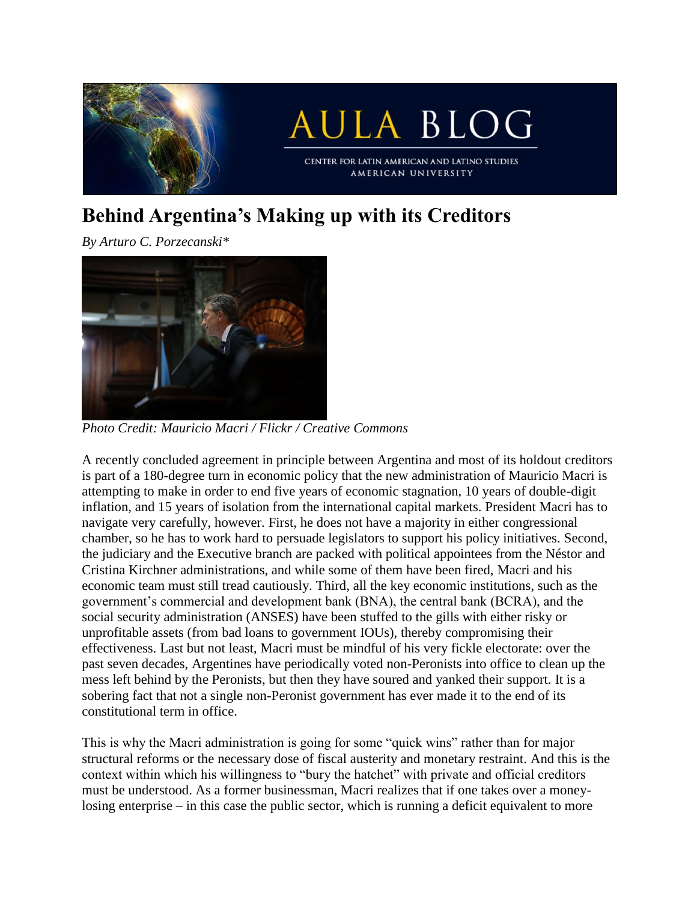

## **Behind Argentina's Making up with its Creditors**

*By Arturo C. Porzecanski\**



*Photo Credit: Mauricio Macri / Flickr / Creative Commons*

A recently concluded agreement in principle between Argentina and most of its holdout creditors is part of a 180-degree turn in economic policy that the new administration of Mauricio Macri is attempting to make in order to end five years of economic stagnation, 10 years of double-digit inflation, and 15 years of isolation from the international capital markets. President Macri has to navigate very carefully, however. First, he does not have a majority in either congressional chamber, so he has to work hard to persuade legislators to support his policy initiatives. Second, the judiciary and the Executive branch are packed with political appointees from the Néstor and Cristina Kirchner administrations, and while some of them have been fired, Macri and his economic team must still tread cautiously. Third, all the key economic institutions, such as the government's commercial and development bank (BNA), the central bank (BCRA), and the social security administration (ANSES) have been stuffed to the gills with either risky or unprofitable assets (from bad loans to government IOUs), thereby compromising their effectiveness. Last but not least, Macri must be mindful of his very fickle electorate: over the past seven decades, Argentines have periodically voted non-Peronists into office to clean up the mess left behind by the Peronists, but then they have soured and yanked their support. It is a sobering fact that not a single non-Peronist government has ever made it to the end of its constitutional term in office.

This is why the Macri administration is going for some "quick wins" rather than for major structural reforms or the necessary dose of fiscal austerity and monetary restraint. And this is the context within which his willingness to "bury the hatchet" with private and official creditors must be understood. As a former businessman, Macri realizes that if one takes over a moneylosing enterprise – in this case the public sector, which is running a deficit equivalent to more